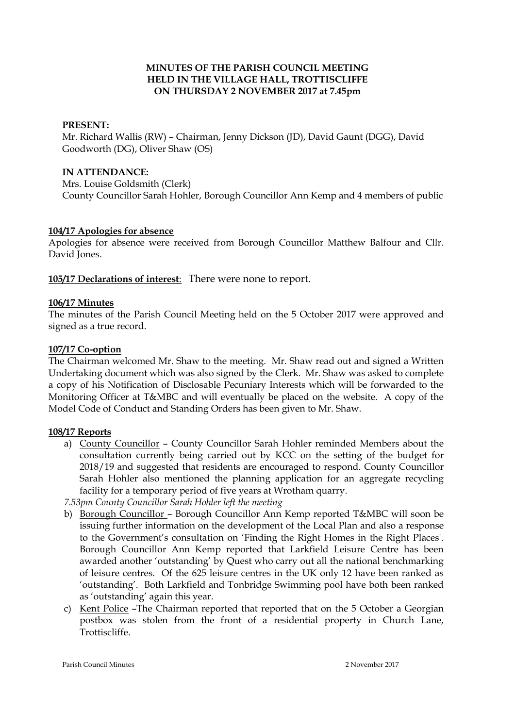## **MINUTES OF THE PARISH COUNCIL MEETING HELD IN THE VILLAGE HALL, TROTTISCLIFFE ON THURSDAY 2 NOVEMBER 2017 at 7.45pm**

### **PRESENT:**

Mr. Richard Wallis (RW) – Chairman, Jenny Dickson (JD), David Gaunt (DGG), David Goodworth (DG), Oliver Shaw (OS)

#### **IN ATTENDANCE:**

Mrs. Louise Goldsmith (Clerk)

County Councillor Sarah Hohler, Borough Councillor Ann Kemp and 4 members of public

#### **104/17 Apologies for absence**

Apologies for absence were received from Borough Councillor Matthew Balfour and Cllr. David Jones.

**105/17 Declarations of interest**: There were none to report.

#### **106/17 Minutes**

The minutes of the Parish Council Meeting held on the 5 October 2017 were approved and signed as a true record.

#### **107/17 Co-option**

The Chairman welcomed Mr. Shaw to the meeting. Mr. Shaw read out and signed a Written Undertaking document which was also signed by the Clerk. Mr. Shaw was asked to complete a copy of his Notification of Disclosable Pecuniary Interests which will be forwarded to the Monitoring Officer at T&MBC and will eventually be placed on the website. A copy of the Model Code of Conduct and Standing Orders has been given to Mr. Shaw.

## **108/17 Reports**

a) County Councillor – County Councillor Sarah Hohler reminded Members about the consultation currently being carried out by KCC on the setting of the budget for 2018/19 and suggested that residents are encouraged to respond. County Councillor Sarah Hohler also mentioned the planning application for an aggregate recycling facility for a temporary period of five years at Wrotham quarry.

*7.53pm County Councillor Sarah Hohler left the meeting*

- b) Borough Councillor Borough Councillor Ann Kemp reported T&MBC will soon be issuing further information on the development of the Local Plan and also a response to the Government's consultation on 'Finding the Right Homes in the Right Places'. Borough Councillor Ann Kemp reported that Larkfield Leisure Centre has been awarded another 'outstanding' by Quest who carry out all the national benchmarking of leisure centres. Of the 625 leisure centres in the UK only 12 have been ranked as 'outstanding'. Both Larkfield and Tonbridge Swimming pool have both been ranked as 'outstanding' again this year.
- c) Kent Police –The Chairman reported that reported that on the 5 October a Georgian postbox was stolen from the front of a residential property in Church Lane, Trottiscliffe.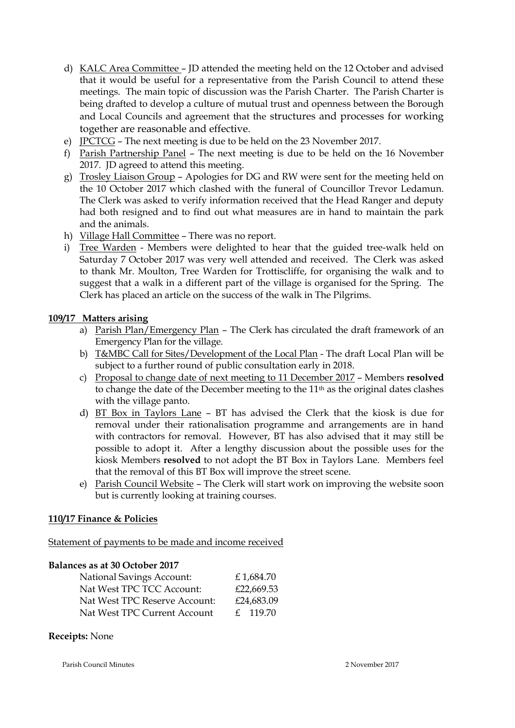- d) KALC Area Committee JD attended the meeting held on the 12 October and advised that it would be useful for a representative from the Parish Council to attend these meetings. The main topic of discussion was the Parish Charter. The Parish Charter is being drafted to develop a culture of mutual trust and openness between the Borough and Local Councils and agreement that the structures and processes for working together are reasonable and effective.
- e) JPCTCG The next meeting is due to be held on the 23 November 2017.
- f) Parish Partnership Panel The next meeting is due to be held on the 16 November 2017. JD agreed to attend this meeting.
- g) Trosley Liaison Group Apologies for DG and RW were sent for the meeting held on the 10 October 2017 which clashed with the funeral of Councillor Trevor Ledamun. The Clerk was asked to verify information received that the Head Ranger and deputy had both resigned and to find out what measures are in hand to maintain the park and the animals.
- h) Village Hall Committee There was no report.
- i) Tree Warden Members were delighted to hear that the guided tree-walk held on Saturday 7 October 2017 was very well attended and received. The Clerk was asked to thank Mr. Moulton, Tree Warden for Trottiscliffe, for organising the walk and to suggest that a walk in a different part of the village is organised for the Spring. The Clerk has placed an article on the success of the walk in The Pilgrims.

## **109/17 Matters arising**

- a) Parish Plan/Emergency Plan The Clerk has circulated the draft framework of an Emergency Plan for the village.
- b) T&MBC Call for Sites/Development of the Local Plan The draft Local Plan will be subject to a further round of public consultation early in 2018.
- c) Proposal to change date of next meeting to 11 December 2017 Members **resolved**  to change the date of the December meeting to the 11th as the original dates clashes with the village panto.
- d) BT Box in Taylors Lane BT has advised the Clerk that the kiosk is due for removal under their rationalisation programme and arrangements are in hand with contractors for removal. However, BT has also advised that it may still be possible to adopt it. After a lengthy discussion about the possible uses for the kiosk Members **resolved** to not adopt the BT Box in Taylors Lane. Members feel that the removal of this BT Box will improve the street scene.
- e) Parish Council Website The Clerk will start work on improving the website soon but is currently looking at training courses.

## **110/17 Finance & Policies**

Statement of payments to be made and income received

#### **Balances as at 30 October 2017**

| <b>National Savings Account:</b> | £1,684.70  |
|----------------------------------|------------|
| Nat West TPC TCC Account:        | £22,669.53 |
| Nat West TPC Reserve Account:    | £24,683.09 |
| Nat West TPC Current Account     | £ 119.70   |

#### **Receipts:** None

Parish Council Minutes 2 November 2017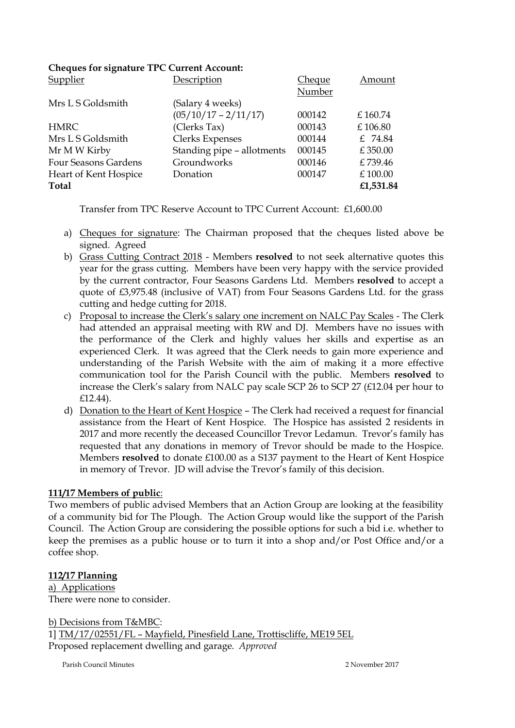| Supplier                    | Description                | Cheque | Amount    |
|-----------------------------|----------------------------|--------|-----------|
|                             |                            | Number |           |
| Mrs L S Goldsmith           | (Salary 4 weeks)           |        |           |
|                             | $(05/10/17 - 2/11/17)$     | 000142 | £160.74   |
| <b>HMRC</b>                 | (Clerks Tax)               | 000143 | £106.80   |
| Mrs L S Goldsmith           | <b>Clerks Expenses</b>     | 000144 | £ 74.84   |
| Mr M W Kirby                | Standing pipe - allotments | 000145 | £350.00   |
| <b>Four Seasons Gardens</b> | Groundworks                | 000146 | £739.46   |
| Heart of Kent Hospice       | Donation                   | 000147 | £100.00   |
| Total                       |                            |        | £1,531.84 |
|                             |                            |        |           |

## **Cheques for signature TPC Current Account:**

Transfer from TPC Reserve Account to TPC Current Account: £1,600.00

- a) Cheques for signature: The Chairman proposed that the cheques listed above be signed. Agreed
- b) Grass Cutting Contract 2018 Members **resolved** to not seek alternative quotes this year for the grass cutting. Members have been very happy with the service provided by the current contractor, Four Seasons Gardens Ltd. Members **resolved** to accept a quote of £3,975.48 (inclusive of VAT) from Four Seasons Gardens Ltd. for the grass cutting and hedge cutting for 2018.
- c) Proposal to increase the Clerk's salary one increment on NALC Pay Scales The Clerk had attended an appraisal meeting with RW and DJ. Members have no issues with the performance of the Clerk and highly values her skills and expertise as an experienced Clerk. It was agreed that the Clerk needs to gain more experience and understanding of the Parish Website with the aim of making it a more effective communication tool for the Parish Council with the public. Members **resolved** to increase the Clerk's salary from NALC pay scale SCP 26 to SCP 27 (£12.04 per hour to £12.44).
- d) Donation to the Heart of Kent Hospice The Clerk had received a request for financial assistance from the Heart of Kent Hospice. The Hospice has assisted 2 residents in 2017 and more recently the deceased Councillor Trevor Ledamun. Trevor's family has requested that any donations in memory of Trevor should be made to the Hospice. Members **resolved** to donate £100.00 as a S137 payment to the Heart of Kent Hospice in memory of Trevor. JD will advise the Trevor's family of this decision.

## **111/17 Members of public**:

Two members of public advised Members that an Action Group are looking at the feasibility of a community bid for The Plough. The Action Group would like the support of the Parish Council. The Action Group are considering the possible options for such a bid i.e. whether to keep the premises as a public house or to turn it into a shop and/or Post Office and/or a coffee shop.

#### **112/17 Planning**

a) Applications There were none to consider.

b) Decisions from T&MBC: 1] TM/17/02551/FL – Mayfield, Pinesfield Lane, Trottiscliffe, ME19 5EL Proposed replacement dwelling and garage. *Approved*

Parish Council Minutes 2 November 2017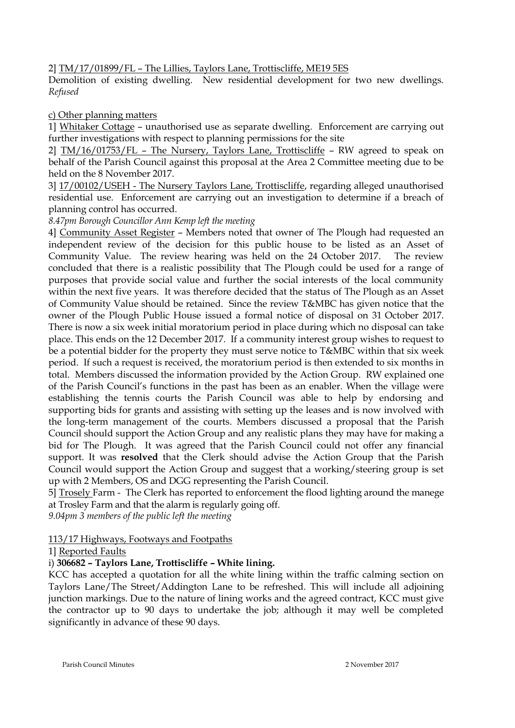2] TM/17/01899/FL – The Lillies, Taylors Lane, Trottiscliffe, ME19 5ES

Demolition of existing dwelling. New residential development for two new dwellings. *Refused*

# c) Other planning matters

1] Whitaker Cottage – unauthorised use as separate dwelling. Enforcement are carrying out further investigations with respect to planning permissions for the site

2] TM/16/01753/FL – The Nursery, Taylors Lane, Trottiscliffe – RW agreed to speak on behalf of the Parish Council against this proposal at the Area 2 Committee meeting due to be held on the 8 November 2017.

3] 17/00102/USEH - The Nursery Taylors Lane, Trottiscliffe, regarding alleged unauthorised residential use. Enforcement are carrying out an investigation to determine if a breach of planning control has occurred.

*8.47pm Borough Councillor Ann Kemp left the meeting*

4] Community Asset Register – Members noted that owner of The Plough had requested an independent review of the decision for this public house to be listed as an Asset of Community Value. The review hearing was held on the 24 October 2017. The review concluded that there is a realistic possibility that The Plough could be used for a range of purposes that provide social value and further the social interests of the local community within the next five years. It was therefore decided that the status of The Plough as an Asset of Community Value should be retained. Since the review T&MBC has given notice that the owner of the Plough Public House issued a formal notice of disposal on 31 October 2017. There is now a six week initial moratorium period in place during which no disposal can take place. This ends on the 12 December 2017. If a community interest group wishes to request to be a potential bidder for the property they must serve notice to T&MBC within that six week period. If such a request is received, the moratorium period is then extended to six months in total. Members discussed the information provided by the Action Group. RW explained one of the Parish Council's functions in the past has been as an enabler. When the village were establishing the tennis courts the Parish Council was able to help by endorsing and supporting bids for grants and assisting with setting up the leases and is now involved with the long-term management of the courts. Members discussed a proposal that the Parish Council should support the Action Group and any realistic plans they may have for making a bid for The Plough. It was agreed that the Parish Council could not offer any financial support. It was **resolved** that the Clerk should advise the Action Group that the Parish Council would support the Action Group and suggest that a working/steering group is set up with 2 Members, OS and DGG representing the Parish Council.

5] Trosely Farm - The Clerk has reported to enforcement the flood lighting around the manege at Trosley Farm and that the alarm is regularly going off.

*9.04pm 3 members of the public left the meeting*

## 113/17 Highways, Footways and Footpaths

## 1] Reported Faults

# i) **306682 – Taylors Lane, Trottiscliffe – White lining.**

KCC has accepted a quotation for all the white lining within the traffic calming section on Taylors Lane/The Street/Addington Lane to be refreshed. This will include all adjoining junction markings. Due to the nature of lining works and the agreed contract, KCC must give the contractor up to 90 days to undertake the job; although it may well be completed significantly in advance of these 90 days.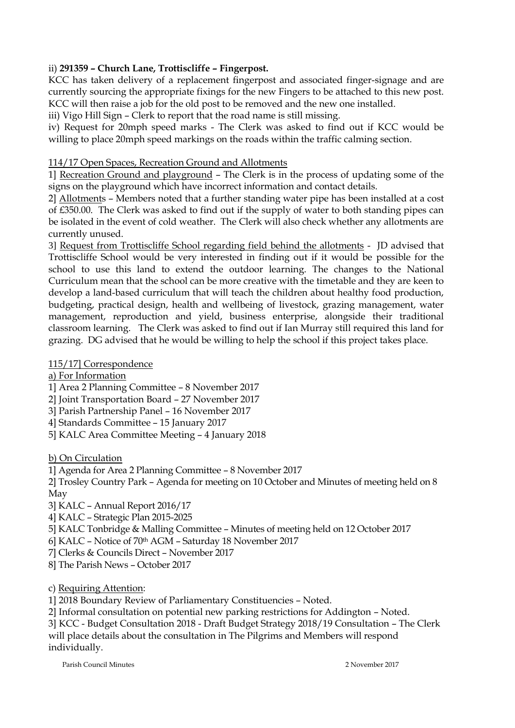# ii) **291359 – Church Lane, Trottiscliffe – Fingerpost.**

KCC has taken delivery of a replacement fingerpost and associated finger-signage and are currently sourcing the appropriate fixings for the new Fingers to be attached to this new post. KCC will then raise a job for the old post to be removed and the new one installed.

iii) Vigo Hill Sign – Clerk to report that the road name is still missing.

iv) Request for 20mph speed marks - The Clerk was asked to find out if KCC would be willing to place 20mph speed markings on the roads within the traffic calming section.

# 114/17 Open Spaces, Recreation Ground and Allotments

1] Recreation Ground and playground – The Clerk is in the process of updating some of the signs on the playground which have incorrect information and contact details.

2] Allotments – Members noted that a further standing water pipe has been installed at a cost of £350.00. The Clerk was asked to find out if the supply of water to both standing pipes can be isolated in the event of cold weather. The Clerk will also check whether any allotments are currently unused.

3] Request from Trottiscliffe School regarding field behind the allotments - JD advised that Trottiscliffe School would be very interested in finding out if it would be possible for the school to use this land to extend the outdoor learning. The changes to the National Curriculum mean that the school can be more creative with the timetable and they are keen to develop a land-based curriculum that will teach the children about healthy food production, budgeting, practical design, health and wellbeing of livestock, grazing management, water management, reproduction and yield, business enterprise, alongside their traditional classroom learning. The Clerk was asked to find out if Ian Murray still required this land for grazing. DG advised that he would be willing to help the school if this project takes place.

# 115/17] Correspondence

a) For Information

- 1] Area 2 Planning Committee 8 November 2017
- 2] Joint Transportation Board 27 November 2017
- 3] Parish Partnership Panel 16 November 2017
- 4] Standards Committee 15 January 2017
- 5] KALC Area Committee Meeting 4 January 2018

b) On Circulation

1] Agenda for Area 2 Planning Committee – 8 November 2017

2] Trosley Country Park – Agenda for meeting on 10 October and Minutes of meeting held on 8 May

- 3] KALC Annual Report 2016/17
- 4] KALC Strategic Plan 2015-2025
- 5] KALC Tonbridge & Malling Committee Minutes of meeting held on 12 October 2017
- 6] KALC Notice of 70th AGM Saturday 18 November 2017
- 7] Clerks & Councils Direct November 2017
- 8] The Parish News October 2017

c) Requiring Attention:

1] 2018 Boundary Review of Parliamentary Constituencies – Noted.

2] Informal consultation on potential new parking restrictions for Addington – Noted.

3] KCC - Budget Consultation 2018 - Draft Budget Strategy 2018/19 Consultation – The Clerk will place details about the consultation in The Pilgrims and Members will respond individually.

Parish Council Minutes 2 November 2017